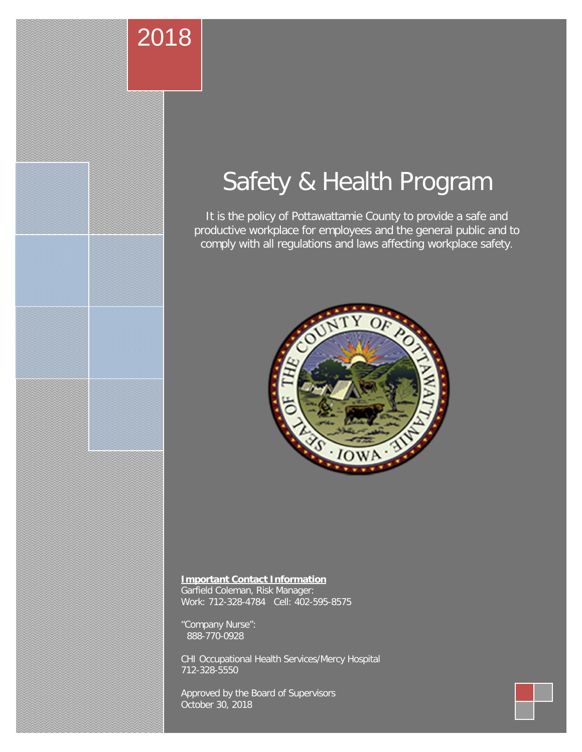#### **SAFETY AND HEALTH PROGRAM, approved October 30, 2018** 2018

# Safety & Health Program

It is the policy of Pottawattamie County to provide a safe and productive workplace for employees and the general public and to comply with all regulations and laws affecting workplace safety.



#### **Important Contact Information**

Garfield Coleman, Risk Manager: Work: 712-328-4784 Cell: 402-595-8575

"Company Nurse": 888-770-0928

CHI Occupational Health Services/Mercy Hospital 712-328-5550

Approved by the Board of Supervisors October 30, 2018

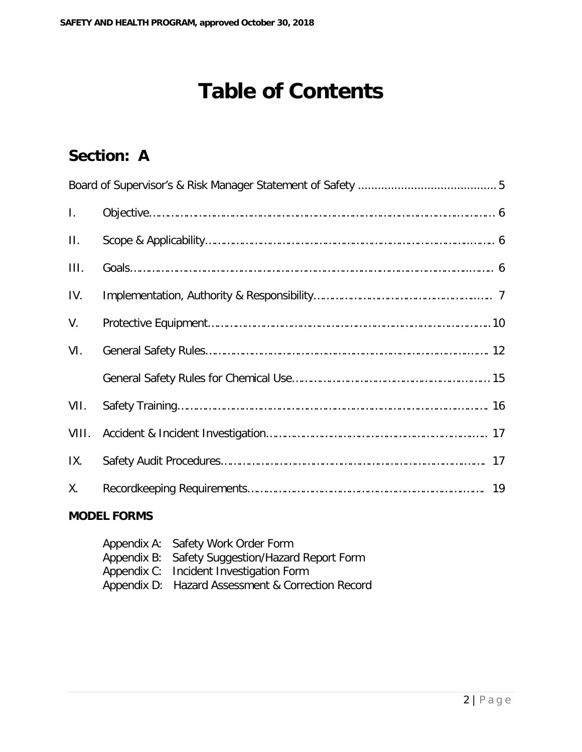## **Table of Contents**

### **Section: A**

| $\mathbf{I}$ . |  |
|----------------|--|
| $\Pi$ .        |  |
| III.           |  |
| IV.            |  |
| V.             |  |
| VI.            |  |
|                |  |
| VII.           |  |
| VIII.          |  |
| IX.            |  |
| Χ.             |  |

#### **MODEL FORMS**

| Appendix A: Safety Work Order Form                |
|---------------------------------------------------|
| Appendix B: Safety Suggestion/Hazard Report Form  |
| Appendix C: Incident Investigation Form           |
| Appendix D: Hazard Assessment & Correction Record |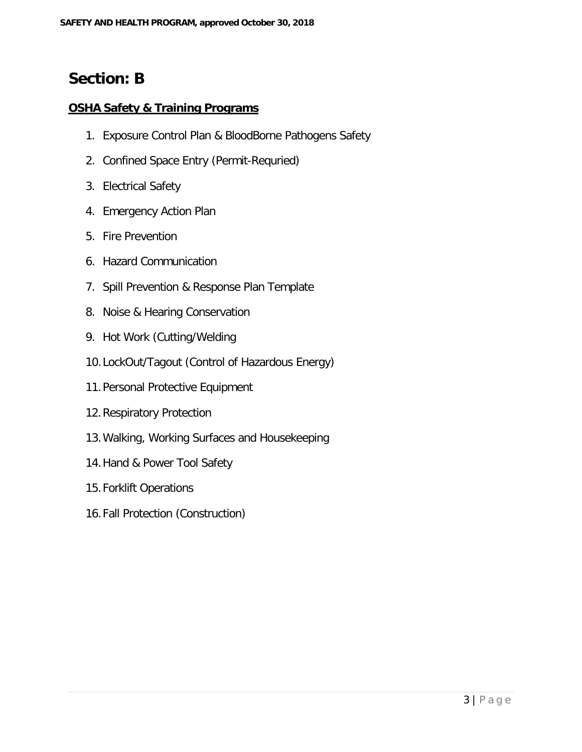#### **Section: B**

#### **OSHA Safety & Training Programs**

- 1. Exposure Control Plan & BloodBorne Pathogens Safety
- 2. Confined Space Entry (Permit-Requried)
- 3. Electrical Safety
- 4. Emergency Action Plan
- 5. Fire Prevention
- 6. Hazard Communication
- 7. Spill Prevention & Response Plan Template
- 8. Noise & Hearing Conservation
- 9. Hot Work (Cutting/Welding
- 10.LockOut/Tagout (Control of Hazardous Energy)
- 11.Personal Protective Equipment
- 12.Respiratory Protection
- 13.Walking, Working Surfaces and Housekeeping
- 14.Hand & Power Tool Safety
- 15.Forklift Operations
- 16.Fall Protection (Construction)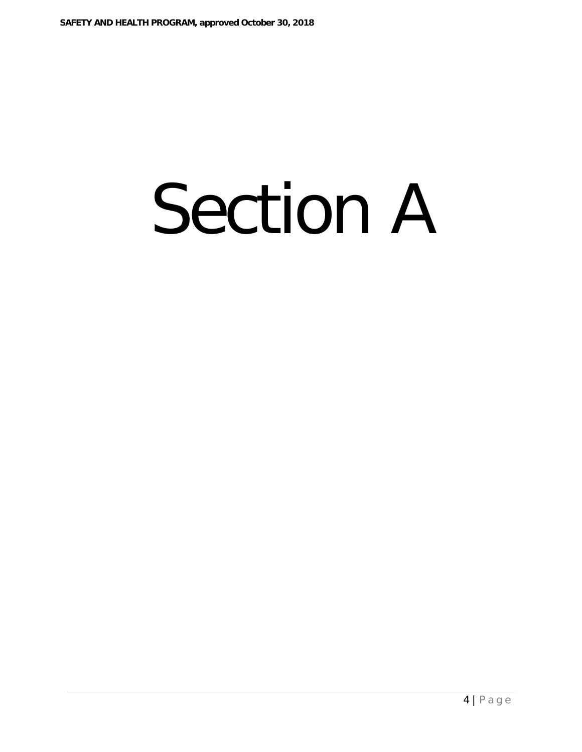# Section A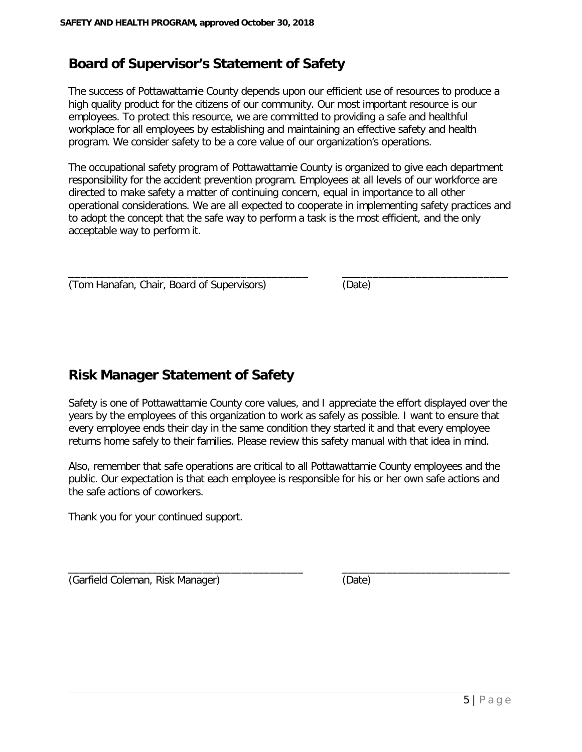#### **Board of Supervisor's Statement of Safety**

The success of Pottawattamie County depends upon our efficient use of resources to produce a high quality product for the citizens of our community. Our most important resource is our employees. To protect this resource, we are committed to providing a safe and healthful workplace for all employees by establishing and maintaining an effective safety and health program. We consider safety to be a core value of our organization's operations.

The occupational safety program of Pottawattamie County is organized to give each department responsibility for the accident prevention program. Employees at all levels of our workforce are directed to make safety a matter of continuing concern, equal in importance to all other operational considerations. We are all expected to cooperate in implementing safety practices and to adopt the concept that the safe way to perform a task is the most efficient, and the only acceptable way to perform it.

\_\_\_\_\_\_\_\_\_\_\_\_\_\_\_\_\_\_\_\_\_\_\_\_\_\_\_\_\_\_\_\_\_\_\_\_\_\_\_ \_\_\_\_\_\_\_\_\_\_\_\_\_\_\_\_\_\_\_\_\_\_\_\_\_\_\_ (Tom Hanafan, Chair, Board of Supervisors) (Date)

#### **Risk Manager Statement of Safety**

Safety is one of Pottawattamie County core values, and I appreciate the effort displayed over the years by the employees of this organization to work as safely as possible. I want to ensure that every employee ends their day in the same condition they started it and that every employee returns home safely to their families. Please review this safety manual with that idea in mind.

Also, remember that safe operations are critical to all Pottawattamie County employees and the public. Our expectation is that each employee is responsible for his or her own safe actions and the safe actions of coworkers.

 $\_$ 

Thank you for your continued support.

(Garfield Coleman, Risk Manager) (Date)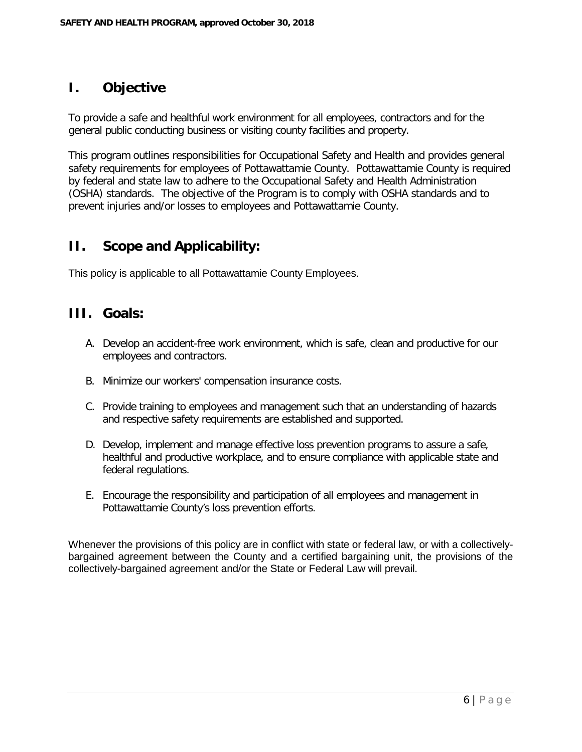#### **I. Objective**

To provide a safe and healthful work environment for all employees, contractors and for the general public conducting business or visiting county facilities and property.

This program outlines responsibilities for Occupational Safety and Health and provides general safety requirements for employees of Pottawattamie County. Pottawattamie County is required by federal and state law to adhere to the Occupational Safety and Health Administration (OSHA) standards. The objective of the Program is to comply with OSHA standards and to prevent injuries and/or losses to employees and Pottawattamie County.

#### **II. Scope and Applicability:**

This policy is applicable to all Pottawattamie County Employees.

#### **III. Goals:**

- A. Develop an accident-free work environment, which is safe, clean and productive for our employees and contractors.
- B. Minimize our workers' compensation insurance costs.
- C. Provide training to employees and management such that an understanding of hazards and respective safety requirements are established and supported.
- D. Develop, implement and manage effective loss prevention programs to assure a safe, healthful and productive workplace, and to ensure compliance with applicable state and federal regulations.
- E. Encourage the responsibility and participation of all employees and management in Pottawattamie County's loss prevention efforts.

Whenever the provisions of this policy are in conflict with state or federal law, or with a collectivelybargained agreement between the County and a certified bargaining unit, the provisions of the collectively-bargained agreement and/or the State or Federal Law will prevail.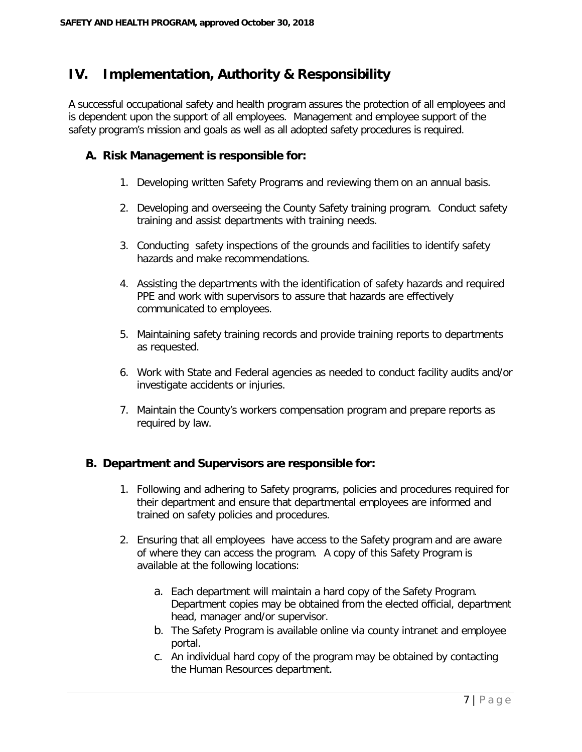#### **IV. Implementation, Authority & Responsibility**

A successful occupational safety and health program assures the protection of all employees and is dependent upon the support of all employees. Management and employee support of the safety program's mission and goals as well as all adopted safety procedures is required.

#### **A. Risk Management is responsible for:**

- 1. Developing written Safety Programs and reviewing them on an annual basis.
- 2. Developing and overseeing the County Safety training program. Conduct safety training and assist departments with training needs.
- 3. Conducting safety inspections of the grounds and facilities to identify safety hazards and make recommendations.
- 4. Assisting the departments with the identification of safety hazards and required PPE and work with supervisors to assure that hazards are effectively communicated to employees.
- 5. Maintaining safety training records and provide training reports to departments as requested.
- 6. Work with State and Federal agencies as needed to conduct facility audits and/or investigate accidents or injuries.
- 7. Maintain the County's workers compensation program and prepare reports as required by law.

#### **B. Department and Supervisors are responsible for:**

- 1. Following and adhering to Safety programs, policies and procedures required for their department and ensure that departmental employees are informed and trained on safety policies and procedures.
- 2. Ensuring that all employees have access to the Safety program and are aware of where they can access the program. A copy of this Safety Program is available at the following locations:
	- a. Each department will maintain a hard copy of the Safety Program. Department copies may be obtained from the elected official, department head, manager and/or supervisor.
	- b. The Safety Program is available online via county intranet and employee portal.
	- c. An individual hard copy of the program may be obtained by contacting the Human Resources department.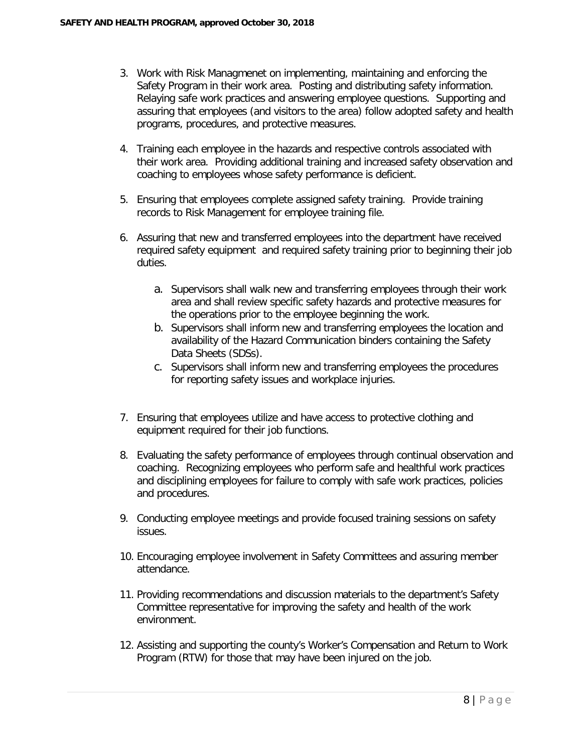- 3. Work with Risk Managmenet on implementing, maintaining and enforcing the Safety Program in their work area. Posting and distributing safety information. Relaying safe work practices and answering employee questions. Supporting and assuring that employees (and visitors to the area) follow adopted safety and health programs, procedures, and protective measures.
- 4. Training each employee in the hazards and respective controls associated with their work area. Providing additional training and increased safety observation and coaching to employees whose safety performance is deficient.
- 5. Ensuring that employees complete assigned safety training. Provide training records to Risk Management for employee training file.
- 6. Assuring that new and transferred employees into the department have received required safety equipment and required safety training prior to beginning their job duties.
	- a. Supervisors shall walk new and transferring employees through their work area and shall review specific safety hazards and protective measures for the operations prior to the employee beginning the work.
	- b. Supervisors shall inform new and transferring employees the location and availability of the Hazard Communication binders containing the Safety Data Sheets (SDSs).
	- c. Supervisors shall inform new and transferring employees the procedures for reporting safety issues and workplace injuries.
- 7. Ensuring that employees utilize and have access to protective clothing and equipment required for their job functions.
- 8. Evaluating the safety performance of employees through continual observation and coaching. Recognizing employees who perform safe and healthful work practices and disciplining employees for failure to comply with safe work practices, policies and procedures.
- 9. Conducting employee meetings and provide focused training sessions on safety issues.
- 10. Encouraging employee involvement in Safety Committees and assuring member attendance.
- 11. Providing recommendations and discussion materials to the department's Safety Committee representative for improving the safety and health of the work environment.
- 12. Assisting and supporting the county's Worker's Compensation and Return to Work Program (RTW) for those that may have been injured on the job.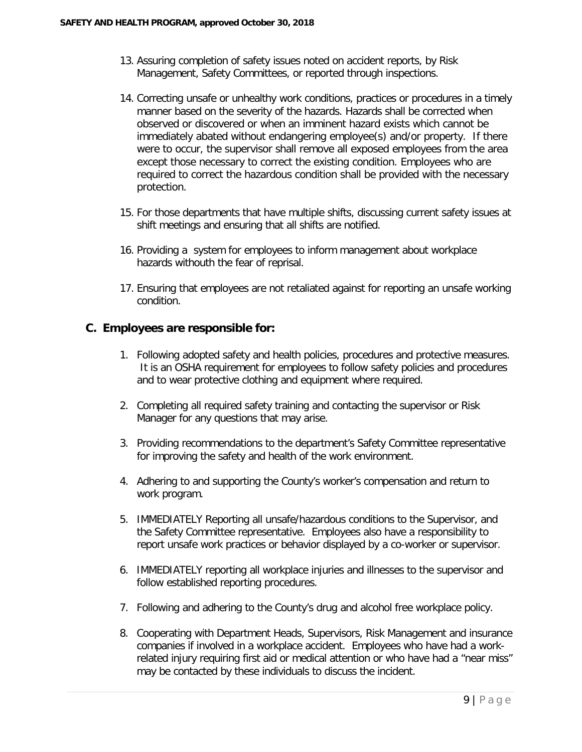- 13. Assuring completion of safety issues noted on accident reports, by Risk Management, Safety Committees, or reported through inspections.
- 14. Correcting unsafe or unhealthy work conditions, practices or procedures in a timely manner based on the severity of the hazards. Hazards shall be corrected when observed or discovered or when an imminent hazard exists which cannot be immediately abated without endangering employee(s) and/or property. If there were to occur, the supervisor shall remove all exposed employees from the area except those necessary to correct the existing condition. Employees who are required to correct the hazardous condition shall be provided with the necessary protection.
- 15. For those departments that have multiple shifts, discussing current safety issues at shift meetings and ensuring that all shifts are notified.
- 16. Providing a system for employees to inform management about workplace hazards withouth the fear of reprisal.
- 17. Ensuring that employees are not retaliated against for reporting an unsafe working condition.

#### **C. Employees are responsible for:**

- 1. Following adopted safety and health policies, procedures and protective measures. It is an OSHA requirement for employees to follow safety policies and procedures and to wear protective clothing and equipment where required.
- 2. Completing all required safety training and contacting the supervisor or Risk Manager for any questions that may arise.
- 3. Providing recommendations to the department's Safety Committee representative for improving the safety and health of the work environment.
- 4. Adhering to and supporting the County's worker's compensation and return to work program.
- 5. IMMEDIATELY Reporting all unsafe/hazardous conditions to the Supervisor, and the Safety Committee representative. Employees also have a responsibility to report unsafe work practices or behavior displayed by a co-worker or supervisor.
- 6. IMMEDIATELY reporting all workplace injuries and illnesses to the supervisor and follow established reporting procedures.
- 7. Following and adhering to the County's drug and alcohol free workplace policy.
- 8. Cooperating with Department Heads, Supervisors, Risk Management and insurance companies if involved in a workplace accident. Employees who have had a workrelated injury requiring first aid or medical attention or who have had a "near miss" may be contacted by these individuals to discuss the incident.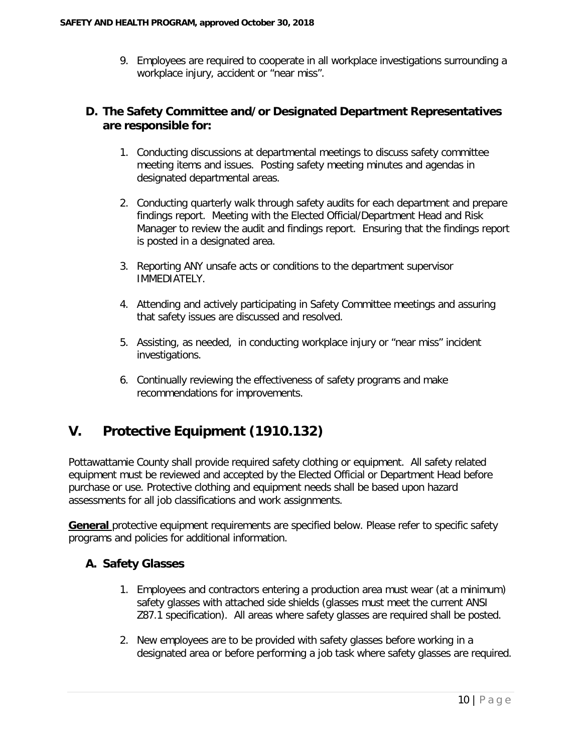9. Employees are required to cooperate in all workplace investigations surrounding a workplace injury, accident or "near miss".

#### **D. The Safety Committee and/or Designated Department Representatives are responsible for:**

- 1. Conducting discussions at departmental meetings to discuss safety committee meeting items and issues. Posting safety meeting minutes and agendas in designated departmental areas.
- 2. Conducting quarterly walk through safety audits for each department and prepare findings report. Meeting with the Elected Official/Department Head and Risk Manager to review the audit and findings report. Ensuring that the findings report is posted in a designated area.
- 3. Reporting ANY unsafe acts or conditions to the department supervisor IMMEDIATELY.
- 4. Attending and actively participating in Safety Committee meetings and assuring that safety issues are discussed and resolved.
- 5. Assisting, as needed, in conducting workplace injury or "near miss" incident investigations.
- 6. Continually reviewing the effectiveness of safety programs and make recommendations for improvements.

#### **V. Protective Equipment (1910.132)**

Pottawattamie County shall provide required safety clothing or equipment. All safety related equipment must be reviewed and accepted by the Elected Official or Department Head before purchase or use. Protective clothing and equipment needs shall be based upon hazard assessments for all job classifications and work assignments.

**General** protective equipment requirements are specified below. Please refer to specific safety programs and policies for additional information.

#### **A. Safety Glasses**

- 1. Employees and contractors entering a production area must wear (at a minimum) safety glasses with attached side shields (glasses must meet the current ANSI Z87.1 specification). All areas where safety glasses are required shall be posted.
- 2. New employees are to be provided with safety glasses before working in a designated area or before performing a job task where safety glasses are required.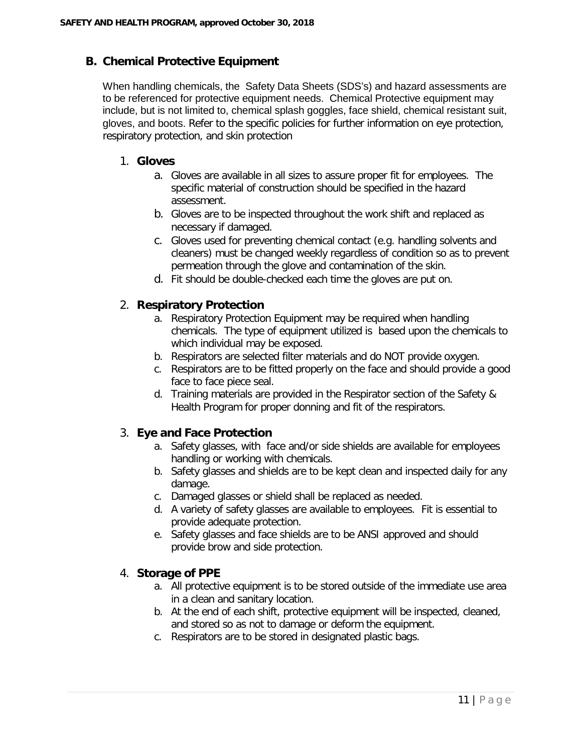#### **B. Chemical Protective Equipment**

When handling chemicals, the Safety Data Sheets (SDS's) and hazard assessments are to be referenced for protective equipment needs. Chemical Protective equipment may include, but is not limited to, chemical splash goggles, face shield, chemical resistant suit, gloves, and boots. Refer to the specific policies for further information on eye protection, respiratory protection, and skin protection

#### 1. **Gloves**

- a. Gloves are available in all sizes to assure proper fit for employees. The specific material of construction should be specified in the hazard assessment.
- b. Gloves are to be inspected throughout the work shift and replaced as necessary if damaged.
- c. Gloves used for preventing chemical contact (e.g. handling solvents and cleaners) must be changed weekly regardless of condition so as to prevent permeation through the glove and contamination of the skin.
- d. Fit should be double-checked each time the gloves are put on.

#### 2. **Respiratory Protection**

- a. Respiratory Protection Equipment may be required when handling chemicals. The type of equipment utilized is based upon the chemicals to which individual may be exposed.
- b. Respirators are selected filter materials and do NOT provide oxygen.
- c. Respirators are to be fitted properly on the face and should provide a good face to face piece seal.
- d. Training materials are provided in the Respirator section of the Safety & Health Program for proper donning and fit of the respirators.

#### 3. **Eye and Face Protection**

- a. Safety glasses, with face and/or side shields are available for employees handling or working with chemicals.
- b. Safety glasses and shields are to be kept clean and inspected daily for any damage.
- c. Damaged glasses or shield shall be replaced as needed.
- d. A variety of safety glasses are available to employees. Fit is essential to provide adequate protection.
- e. Safety glasses and face shields are to be ANSI approved and should provide brow and side protection.

#### 4. **Storage of PPE**

- a. All protective equipment is to be stored outside of the immediate use area in a clean and sanitary location.
- b. At the end of each shift, protective equipment will be inspected, cleaned, and stored so as not to damage or deform the equipment.
- c. Respirators are to be stored in designated plastic bags.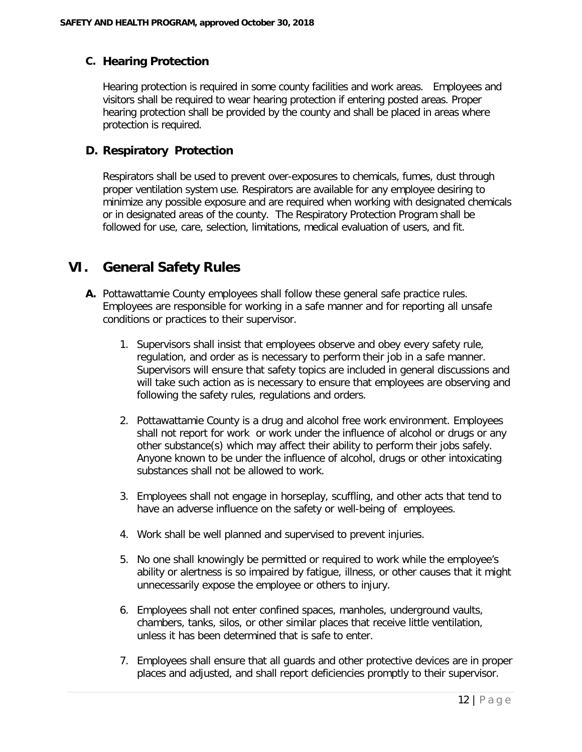#### **C. Hearing Protection**

Hearing protection is required in some county facilities and work areas. Employees and visitors shall be required to wear hearing protection if entering posted areas. Proper hearing protection shall be provided by the county and shall be placed in areas where protection is required.

#### **D. Respiratory Protection**

Respirators shall be used to prevent over-exposures to chemicals, fumes, dust through proper ventilation system use. Respirators are available for any employee desiring to minimize any possible exposure and are required when working with designated chemicals or in designated areas of the county. The Respiratory Protection Program shall be followed for use, care, selection, limitations, medical evaluation of users, and fit.

#### **VI. General Safety Rules**

- **A.** Pottawattamie County employees shall follow these general safe practice rules. Employees are responsible for working in a safe manner and for reporting all unsafe conditions or practices to their supervisor.
	- 1. Supervisors shall insist that employees observe and obey every safety rule, regulation, and order as is necessary to perform their job in a safe manner. Supervisors will ensure that safety topics are included in general discussions and will take such action as is necessary to ensure that employees are observing and following the safety rules, regulations and orders.
	- 2. Pottawattamie County is a drug and alcohol free work environment. Employees shall not report for work or work under the influence of alcohol or drugs or any other substance(s) which may affect their ability to perform their jobs safely. Anyone known to be under the influence of alcohol, drugs or other intoxicating substances shall not be allowed to work.
	- 3. Employees shall not engage in horseplay, scuffling, and other acts that tend to have an adverse influence on the safety or well-being of employees.
	- 4. Work shall be well planned and supervised to prevent injuries.
	- 5. No one shall knowingly be permitted or required to work while the employee's ability or alertness is so impaired by fatigue, illness, or other causes that it might unnecessarily expose the employee or others to injury.
	- 6. Employees shall not enter confined spaces, manholes, underground vaults, chambers, tanks, silos, or other similar places that receive little ventilation, unless it has been determined that is safe to enter.
	- 7. Employees shall ensure that all guards and other protective devices are in proper places and adjusted, and shall report deficiencies promptly to their supervisor.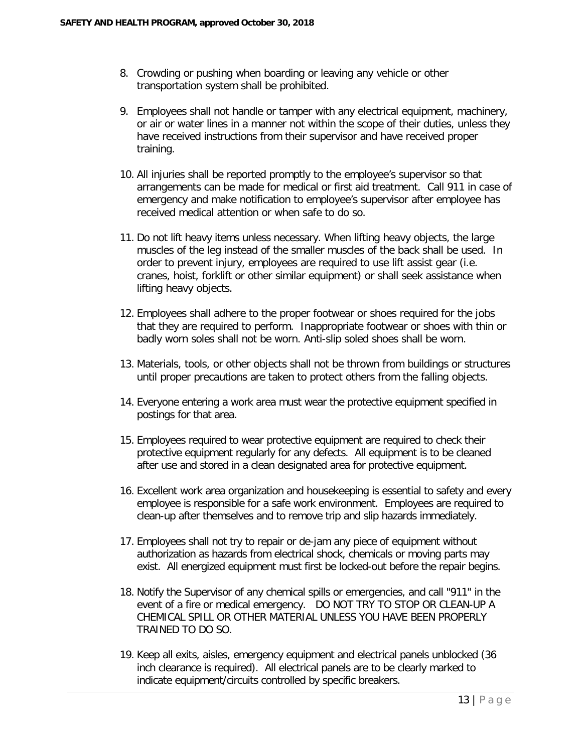- 8. Crowding or pushing when boarding or leaving any vehicle or other transportation system shall be prohibited.
- 9. Employees shall not handle or tamper with any electrical equipment, machinery, or air or water lines in a manner not within the scope of their duties, unless they have received instructions from their supervisor and have received proper training.
- 10. All injuries shall be reported promptly to the employee's supervisor so that arrangements can be made for medical or first aid treatment. Call 911 in case of emergency and make notification to employee's supervisor after employee has received medical attention or when safe to do so.
- 11. Do not lift heavy items unless necessary. When lifting heavy objects, the large muscles of the leg instead of the smaller muscles of the back shall be used. In order to prevent injury, employees are required to use lift assist gear (i.e. cranes, hoist, forklift or other similar equipment) or shall seek assistance when lifting heavy objects.
- 12. Employees shall adhere to the proper footwear or shoes required for the jobs that they are required to perform. Inappropriate footwear or shoes with thin or badly worn soles shall not be worn. Anti-slip soled shoes shall be worn.
- 13. Materials, tools, or other objects shall not be thrown from buildings or structures until proper precautions are taken to protect others from the falling objects.
- 14. Everyone entering a work area must wear the protective equipment specified in postings for that area.
- 15. Employees required to wear protective equipment are required to check their protective equipment regularly for any defects. All equipment is to be cleaned after use and stored in a clean designated area for protective equipment.
- 16. Excellent work area organization and housekeeping is essential to safety and every employee is responsible for a safe work environment. Employees are required to clean-up after themselves and to remove trip and slip hazards immediately.
- 17. Employees shall not try to repair or de-jam any piece of equipment without authorization as hazards from electrical shock, chemicals or moving parts may exist. All energized equipment must first be locked-out before the repair begins.
- 18. Notify the Supervisor of any chemical spills or emergencies, and call "911" in the event of a fire or medical emergency. DO NOT TRY TO STOP OR CLEAN-UP A CHEMICAL SPILL OR OTHER MATERIAL UNLESS YOU HAVE BEEN PROPERLY TRAINED TO DO SO.
- 19. Keep all exits, aisles, emergency equipment and electrical panels unblocked (36 inch clearance is required). All electrical panels are to be clearly marked to indicate equipment/circuits controlled by specific breakers.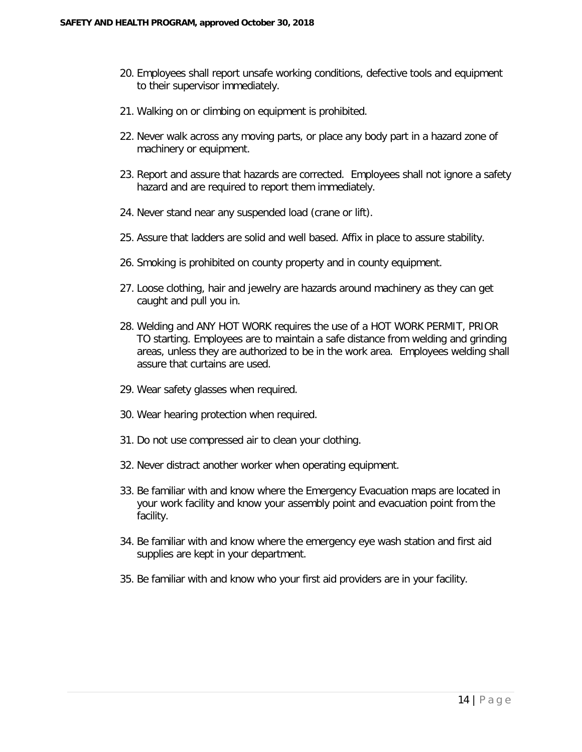- 20. Employees shall report unsafe working conditions, defective tools and equipment to their supervisor immediately.
- 21. Walking on or climbing on equipment is prohibited.
- 22. Never walk across any moving parts, or place any body part in a hazard zone of machinery or equipment.
- 23. Report and assure that hazards are corrected. Employees shall not ignore a safety hazard and are required to report them immediately.
- 24. Never stand near any suspended load (crane or lift).
- 25. Assure that ladders are solid and well based. Affix in place to assure stability.
- 26. Smoking is prohibited on county property and in county equipment.
- 27. Loose clothing, hair and jewelry are hazards around machinery as they can get caught and pull you in.
- 28. Welding and ANY HOT WORK requires the use of a HOT WORK PERMIT, PRIOR TO starting. Employees are to maintain a safe distance from welding and grinding areas, unless they are authorized to be in the work area. Employees welding shall assure that curtains are used.
- 29. Wear safety glasses when required.
- 30. Wear hearing protection when required.
- 31. Do not use compressed air to clean your clothing.
- 32. Never distract another worker when operating equipment.
- 33. Be familiar with and know where the Emergency Evacuation maps are located in your work facility and know your assembly point and evacuation point from the facility.
- 34. Be familiar with and know where the emergency eye wash station and first aid supplies are kept in your department.
- 35. Be familiar with and know who your first aid providers are in your facility.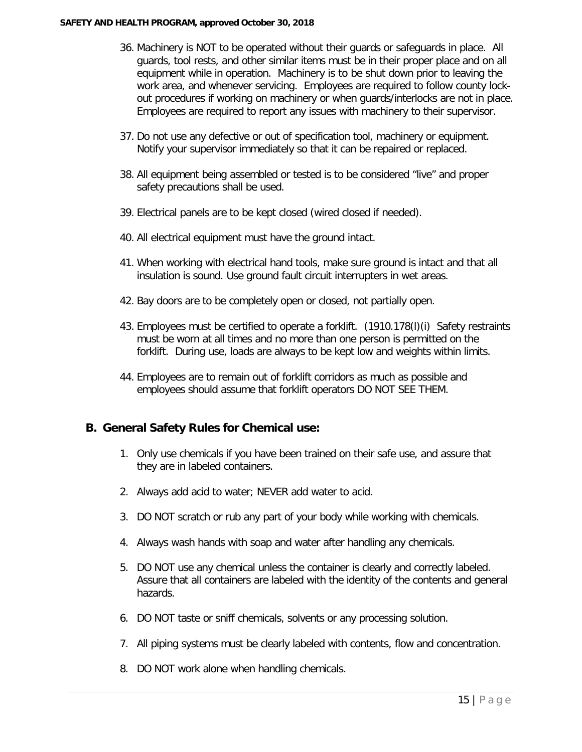- 36. Machinery is NOT to be operated without their guards or safeguards in place. All guards, tool rests, and other similar items must be in their proper place and on all equipment while in operation. Machinery is to be shut down prior to leaving the work area, and whenever servicing. Employees are required to follow county lockout procedures if working on machinery or when guards/interlocks are not in place. Employees are required to report any issues with machinery to their supervisor.
- 37. Do not use any defective or out of specification tool, machinery or equipment. Notify your supervisor immediately so that it can be repaired or replaced.
- 38. All equipment being assembled or tested is to be considered "live" and proper safety precautions shall be used.
- 39. Electrical panels are to be kept closed (wired closed if needed).
- 40. All electrical equipment must have the ground intact.
- 41. When working with electrical hand tools, make sure ground is intact and that all insulation is sound. Use ground fault circuit interrupters in wet areas.
- 42. Bay doors are to be completely open or closed, not partially open.
- 43. Employees must be certified to operate a forklift. (1910.178(l)(i) Safety restraints must be worn at all times and no more than one person is permitted on the forklift. During use, loads are always to be kept low and weights within limits.
- 44. Employees are to remain out of forklift corridors as much as possible and employees should assume that forklift operators DO NOT SEE THEM.

#### **B. General Safety Rules for Chemical use:**

- 1. Only use chemicals if you have been trained on their safe use, and assure that they are in labeled containers.
- 2. Always add acid to water; NEVER add water to acid.
- 3. DO NOT scratch or rub any part of your body while working with chemicals.
- 4. Always wash hands with soap and water after handling any chemicals.
- 5. DO NOT use any chemical unless the container is clearly and correctly labeled. Assure that all containers are labeled with the identity of the contents and general hazards.
- 6. DO NOT taste or sniff chemicals, solvents or any processing solution.
- 7. All piping systems must be clearly labeled with contents, flow and concentration.
- 8. DO NOT work alone when handling chemicals.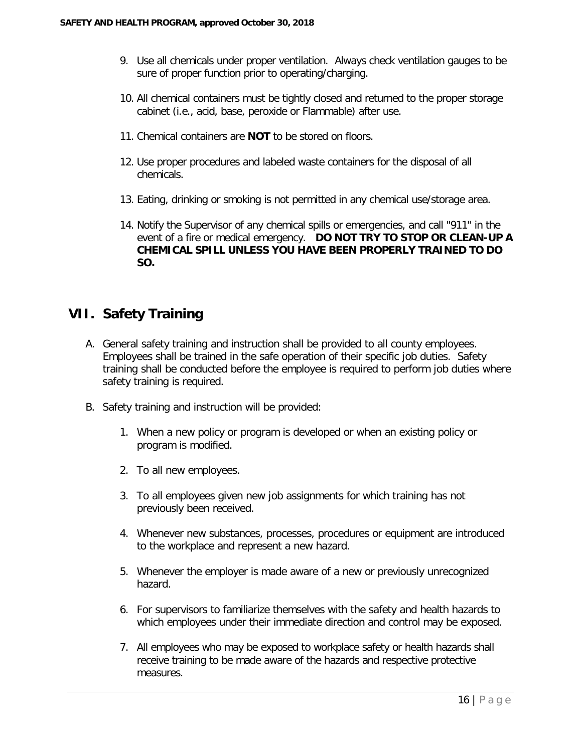- 9. Use all chemicals under proper ventilation. Always check ventilation gauges to be sure of proper function prior to operating/charging.
- 10. All chemical containers must be tightly closed and returned to the proper storage cabinet (i.e., acid, base, peroxide or Flammable) after use.
- 11. Chemical containers are **NOT** to be stored on floors.
- 12. Use proper procedures and labeled waste containers for the disposal of all chemicals.
- 13. Eating, drinking or smoking is not permitted in any chemical use/storage area.
- 14. Notify the Supervisor of any chemical spills or emergencies, and call "911" in the event of a fire or medical emergency. **DO NOT TRY TO STOP OR CLEAN-UP A CHEMICAL SPILL UNLESS YOU HAVE BEEN PROPERLY TRAINED TO DO SO.**

#### **VII. Safety Training**

- A. General safety training and instruction shall be provided to all county employees. Employees shall be trained in the safe operation of their specific job duties. Safety training shall be conducted before the employee is required to perform job duties where safety training is required.
- B. Safety training and instruction will be provided:
	- 1. When a new policy or program is developed or when an existing policy or program is modified.
	- 2. To all new employees.
	- 3. To all employees given new job assignments for which training has not previously been received.
	- 4. Whenever new substances, processes, procedures or equipment are introduced to the workplace and represent a new hazard.
	- 5. Whenever the employer is made aware of a new or previously unrecognized hazard.
	- 6. For supervisors to familiarize themselves with the safety and health hazards to which employees under their immediate direction and control may be exposed.
	- 7. All employees who may be exposed to workplace safety or health hazards shall receive training to be made aware of the hazards and respective protective measures.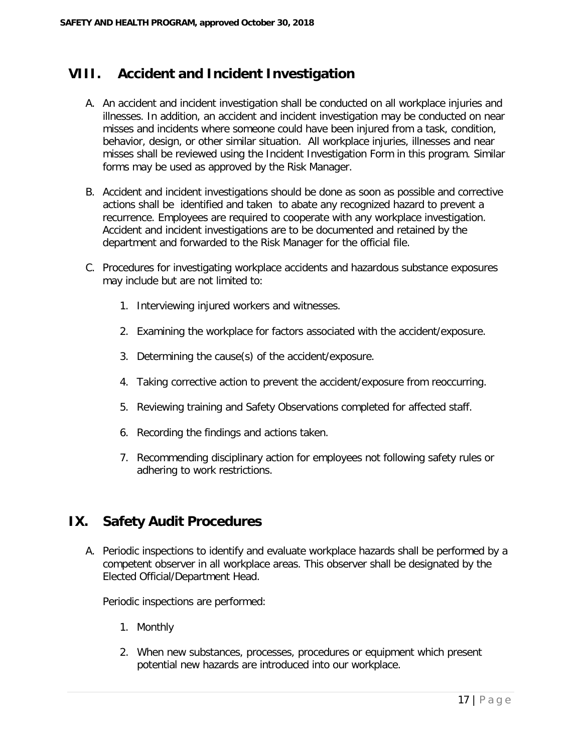#### **VIII. Accident and Incident Investigation**

- A. An accident and incident investigation shall be conducted on all workplace injuries and illnesses. In addition, an accident and incident investigation may be conducted on near misses and incidents where someone could have been injured from a task, condition, behavior, design, or other similar situation. All workplace injuries, illnesses and near misses shall be reviewed using the Incident Investigation Form in this program. Similar forms may be used as approved by the Risk Manager.
- B. Accident and incident investigations should be done as soon as possible and corrective actions shall be identified and taken to abate any recognized hazard to prevent a recurrence. Employees are required to cooperate with any workplace investigation. Accident and incident investigations are to be documented and retained by the department and forwarded to the Risk Manager for the official file.
- C. Procedures for investigating workplace accidents and hazardous substance exposures may include but are not limited to:
	- 1. Interviewing injured workers and witnesses.
	- 2. Examining the workplace for factors associated with the accident/exposure.
	- 3. Determining the cause(s) of the accident/exposure.
	- 4. Taking corrective action to prevent the accident/exposure from reoccurring.
	- 5. Reviewing training and Safety Observations completed for affected staff.
	- 6. Recording the findings and actions taken.
	- 7. Recommending disciplinary action for employees not following safety rules or adhering to work restrictions.

#### **IX. Safety Audit Procedures**

A. Periodic inspections to identify and evaluate workplace hazards shall be performed by a competent observer in all workplace areas. This observer shall be designated by the Elected Official/Department Head.

Periodic inspections are performed:

- 1. Monthly
- 2. When new substances, processes, procedures or equipment which present potential new hazards are introduced into our workplace.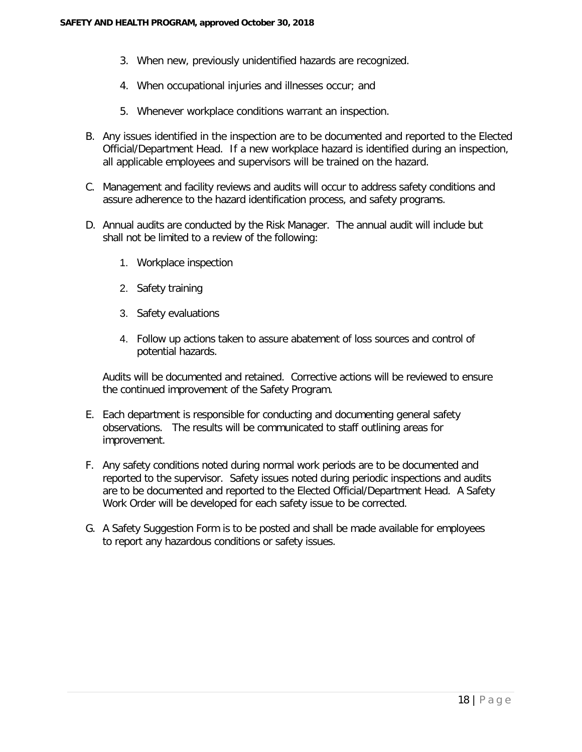- 3. When new, previously unidentified hazards are recognized.
- 4. When occupational injuries and illnesses occur; and
- 5. Whenever workplace conditions warrant an inspection.
- B. Any issues identified in the inspection are to be documented and reported to the Elected Official/Department Head. If a new workplace hazard is identified during an inspection, all applicable employees and supervisors will be trained on the hazard.
- C. Management and facility reviews and audits will occur to address safety conditions and assure adherence to the hazard identification process, and safety programs.
- D. Annual audits are conducted by the Risk Manager. The annual audit will include but shall not be limited to a review of the following:
	- 1. Workplace inspection
	- 2. Safety training
	- 3. Safety evaluations
	- 4. Follow up actions taken to assure abatement of loss sources and control of potential hazards.

Audits will be documented and retained. Corrective actions will be reviewed to ensure the continued improvement of the Safety Program.

- E. Each department is responsible for conducting and documenting general safety observations. The results will be communicated to staff outlining areas for improvement.
- F. Any safety conditions noted during normal work periods are to be documented and reported to the supervisor. Safety issues noted during periodic inspections and audits are to be documented and reported to the Elected Official/Department Head. A Safety Work Order will be developed for each safety issue to be corrected.
- G. A Safety Suggestion Form is to be posted and shall be made available for employees to report any hazardous conditions or safety issues.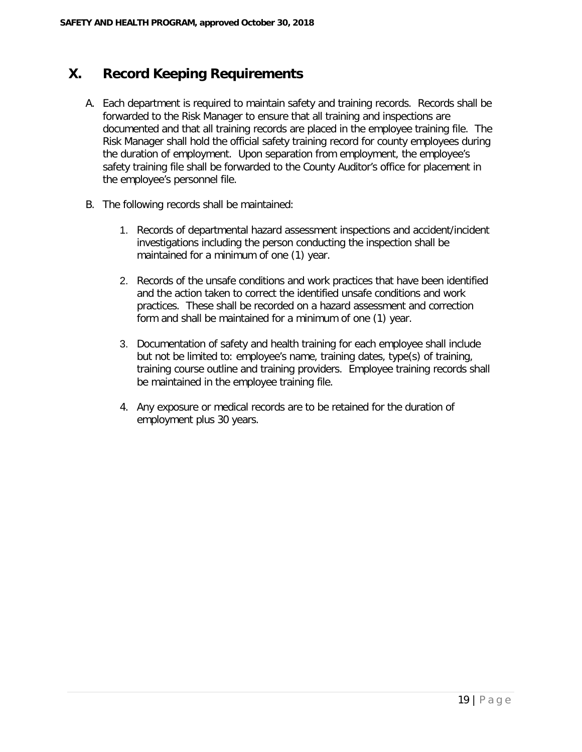#### **X. Record Keeping Requirements**

- A. Each department is required to maintain safety and training records. Records shall be forwarded to the Risk Manager to ensure that all training and inspections are documented and that all training records are placed in the employee training file. The Risk Manager shall hold the official safety training record for county employees during the duration of employment. Upon separation from employment, the employee's safety training file shall be forwarded to the County Auditor's office for placement in the employee's personnel file.
- B. The following records shall be maintained:
	- 1. Records of departmental hazard assessment inspections and accident/incident investigations including the person conducting the inspection shall be maintained for a minimum of one (1) year.
	- 2. Records of the unsafe conditions and work practices that have been identified and the action taken to correct the identified unsafe conditions and work practices. These shall be recorded on a hazard assessment and correction form and shall be maintained for a minimum of one (1) year.
	- 3. Documentation of safety and health training for each employee shall include but not be limited to: employee's name, training dates, type(s) of training, training course outline and training providers. Employee training records shall be maintained in the employee training file.
	- 4. Any exposure or medical records are to be retained for the duration of employment plus 30 years.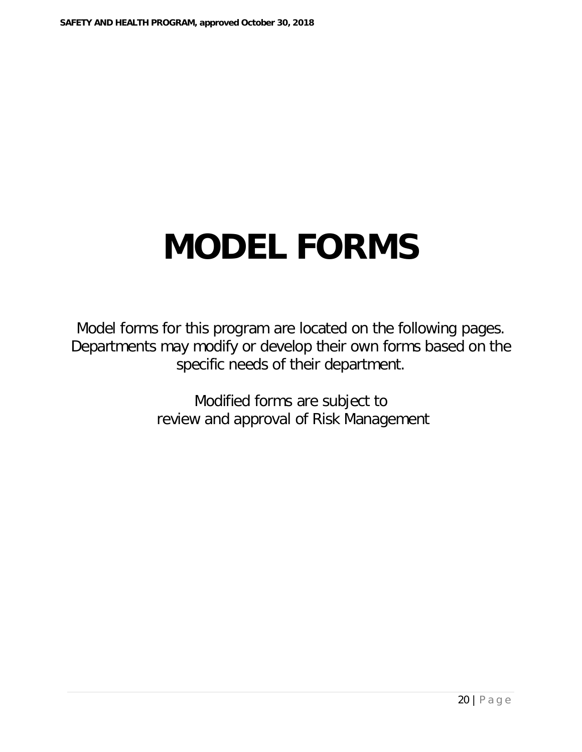# **MODEL FORMS**

Model forms for this program are located on the following pages. Departments may modify or develop their own forms based on the specific needs of their department.

> Modified forms are subject to review and approval of Risk Management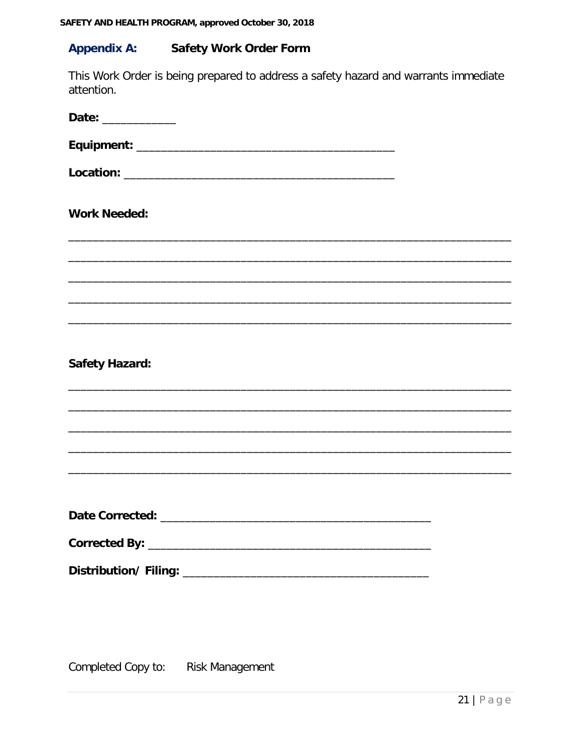#### **Appendix A: Safety Work Order Form**

This Work Order is being prepared to address a safety hazard and warrants immediate attention.

| Date: ____________    |  |
|-----------------------|--|
|                       |  |
|                       |  |
| <b>Work Needed:</b>   |  |
|                       |  |
|                       |  |
|                       |  |
|                       |  |
| <b>Safety Hazard:</b> |  |
|                       |  |
|                       |  |
|                       |  |
|                       |  |
|                       |  |
|                       |  |
|                       |  |
|                       |  |

Completed Copy to: **Risk Management**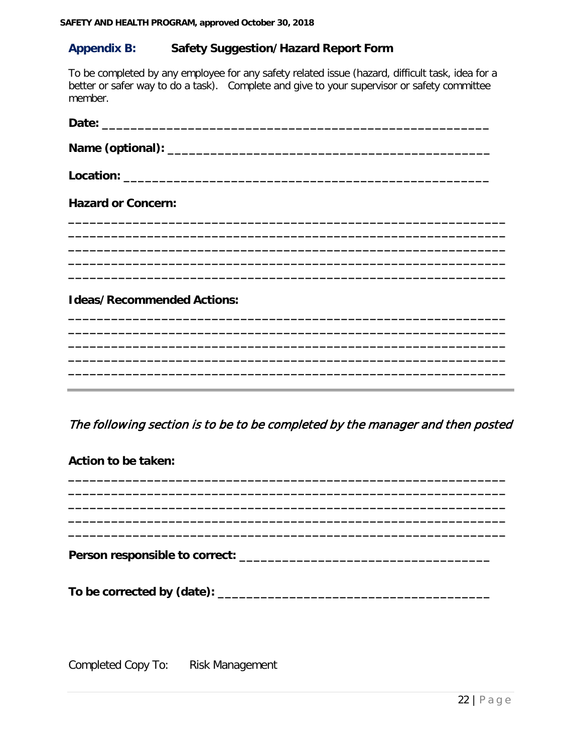#### **Appendix B: Safety Suggestion/Hazard Report Form**

To be completed by any employee for any safety related issue (hazard, difficult task, idea for a better or safer way to do a task). Complete and give to your supervisor or safety committee member.

| <b>Hazard or Concern:</b>                                                     |
|-------------------------------------------------------------------------------|
|                                                                               |
| <b>Ideas/Recommended Actions:</b>                                             |
|                                                                               |
|                                                                               |
|                                                                               |
| The following section is to be to be completed by the manager and then posted |
| <b>Action to be taken:</b>                                                    |
|                                                                               |
|                                                                               |
|                                                                               |
|                                                                               |
|                                                                               |
|                                                                               |

Completed Copy To: **Risk Management**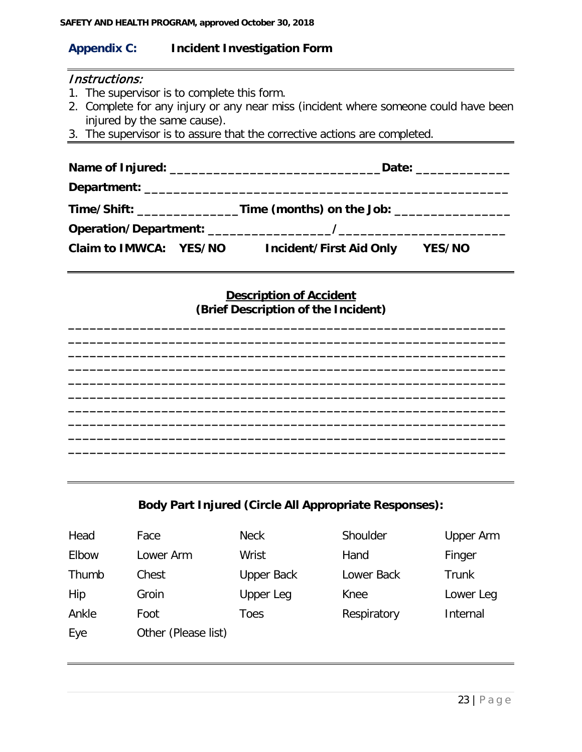#### **Appendix C: Incident Investigation Form**

#### Instructions:

- 1. The supervisor is to complete this form.
- 2. Complete for any injury or any near miss (incident where someone could have been injured by the same cause).
- 3. The supervisor is to assure that the corrective actions are completed.

|  |                                                                                  | Date: ______________ |  |
|--|----------------------------------------------------------------------------------|----------------------|--|
|  |                                                                                  |                      |  |
|  | Time/Shift: __________________Time (months) on the Job: ________________________ |                      |  |
|  |                                                                                  |                      |  |
|  | Claim to IMWCA: YES/NO Incident/First Aid Only YES/NO                            |                      |  |
|  | <b>Description of Accident</b><br>(Brief Description of the Incident)            |                      |  |
|  |                                                                                  |                      |  |
|  |                                                                                  |                      |  |
|  |                                                                                  |                      |  |
|  |                                                                                  |                      |  |
|  |                                                                                  |                      |  |
|  |                                                                                  |                      |  |
|  |                                                                                  |                      |  |
|  |                                                                                  |                      |  |

#### **Body Part Injured (Circle All Appropriate Responses):**

| Head  | Face                | <b>Neck</b>       | Shoulder    | Upper Arm    |
|-------|---------------------|-------------------|-------------|--------------|
| Elbow | Lower Arm           | Wrist             | Hand        | Finger       |
| Thumb | Chest               | <b>Upper Back</b> | Lower Back  | <b>Trunk</b> |
| Hip   | Groin               | Upper Leg         | Knee        | Lower Leg    |
| Ankle | Foot                | Toes              | Respiratory | Internal     |
| Eye   | Other (Please list) |                   |             |              |
|       |                     |                   |             |              |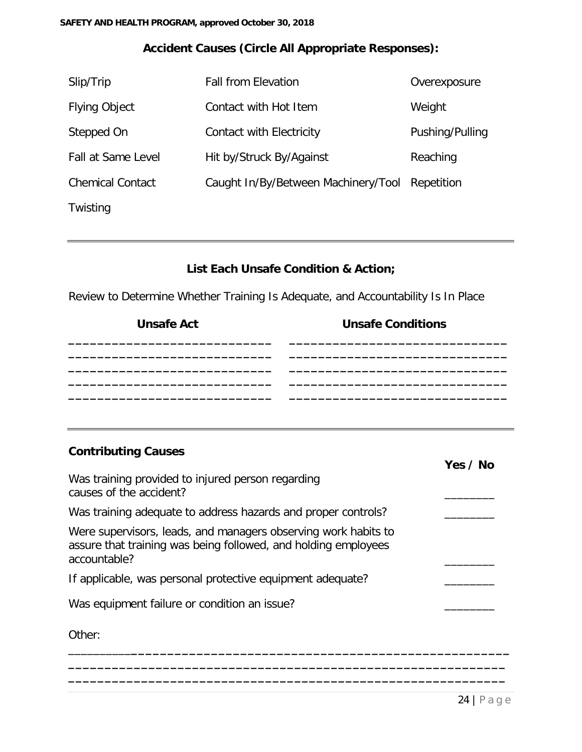#### **Accident Causes (Circle All Appropriate Responses):**

| Slip/Trip               | <b>Fall from Elevation</b>          | Overexposure    |
|-------------------------|-------------------------------------|-----------------|
| <b>Flying Object</b>    | Contact with Hot Item               | Weight          |
| Stepped On              | Contact with Electricity            | Pushing/Pulling |
| Fall at Same Level      | Hit by/Struck By/Against            | Reaching        |
| <b>Chemical Contact</b> | Caught In/By/Between Machinery/Tool | Repetition      |
| Twisting                |                                     |                 |

#### **List Each Unsafe Condition & Action;**

Review to Determine Whether Training Is Adequate, and Accountability Is In Place

| <b>Unsafe Act</b> | <b>Unsafe Conditions</b> |
|-------------------|--------------------------|
|                   |                          |
|                   |                          |
|                   |                          |
|                   |                          |

#### **Contributing Causes**

|                                                                                                                                                  | Yes / No |
|--------------------------------------------------------------------------------------------------------------------------------------------------|----------|
| Was training provided to injured person regarding<br>causes of the accident?                                                                     |          |
| Was training adequate to address hazards and proper controls?                                                                                    |          |
| Were supervisors, leads, and managers observing work habits to<br>assure that training was being followed, and holding employees<br>accountable? |          |
| If applicable, was personal protective equipment adequate?                                                                                       |          |
| Was equipment failure or condition an issue?                                                                                                     |          |
| Other:                                                                                                                                           |          |
|                                                                                                                                                  |          |

**\_\_\_\_\_\_\_\_\_\_\_\_\_\_\_\_\_\_\_\_\_\_\_\_\_\_\_\_\_\_\_\_\_\_\_\_\_\_\_\_\_\_\_\_\_\_\_\_\_\_\_\_\_\_\_\_\_\_\_\_**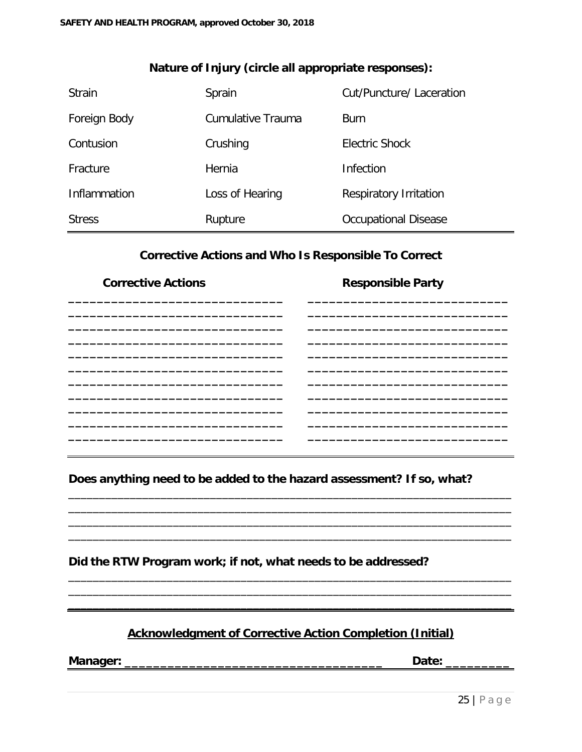| <b>Strain</b> | Sprain            | Cut/Puncture/ Laceration    |
|---------------|-------------------|-----------------------------|
| Foreign Body  | Cumulative Trauma | <b>Burn</b>                 |
| Contusion     | Crushing          | Electric Shock              |
| Fracture      | Hernia            | Infection                   |
| Inflammation  | Loss of Hearing   | Respiratory Irritation      |
| <b>Stress</b> | Rupture           | <b>Occupational Disease</b> |

#### **Nature of Injury (circle all appropriate responses):**

#### **Corrective Actions and Who Is Responsible To Correct**

| <b>Corrective Actions</b>                                             | <b>Responsible Party</b> |
|-----------------------------------------------------------------------|--------------------------|
|                                                                       |                          |
|                                                                       |                          |
|                                                                       |                          |
|                                                                       |                          |
|                                                                       |                          |
|                                                                       |                          |
|                                                                       |                          |
| Does anything need to be added to the hazard assessment? If so, what? |                          |
|                                                                       |                          |
|                                                                       |                          |
| Did the RTW Program work; if not, what needs to be addressed?         |                          |
|                                                                       |                          |

#### **Acknowledgment of Corrective Action Completion (Initial)**

\_\_\_\_\_\_\_\_\_\_\_\_\_\_\_\_\_\_\_\_\_\_\_\_\_\_\_\_\_\_\_\_\_\_\_\_\_\_\_\_\_\_\_\_\_\_\_\_\_\_\_\_\_\_\_\_\_\_\_\_\_\_\_\_\_\_\_\_\_\_\_\_

**Manager: \_\_\_\_\_\_\_\_\_\_\_\_\_\_\_\_\_\_\_\_\_\_\_\_\_\_\_\_\_\_\_\_\_\_\_\_ Date: \_\_\_\_\_\_\_\_\_**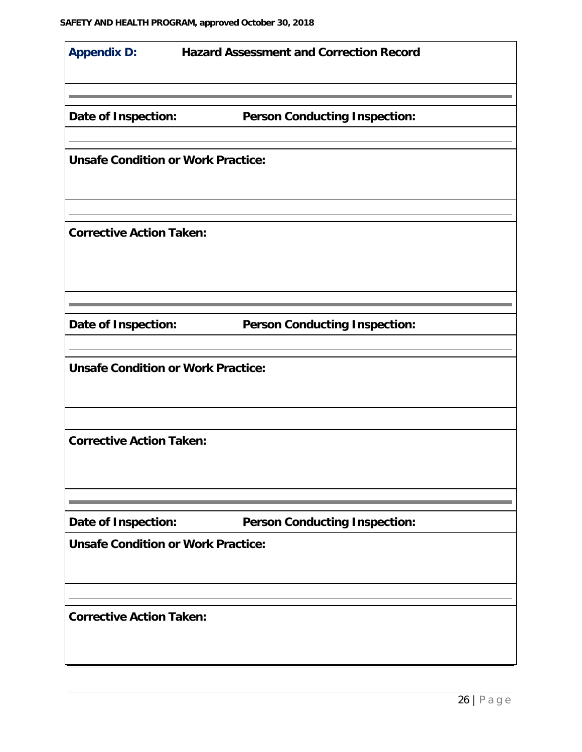| <b>Appendix D:</b>                        | <b>Hazard Assessment and Correction Record</b> |
|-------------------------------------------|------------------------------------------------|
|                                           |                                                |
| Date of Inspection:                       | <b>Person Conducting Inspection:</b>           |
| <b>Unsafe Condition or Work Practice:</b> |                                                |
|                                           |                                                |
| <b>Corrective Action Taken:</b>           |                                                |
| Date of Inspection:                       | <b>Person Conducting Inspection:</b>           |
|                                           |                                                |
| <b>Unsafe Condition or Work Practice:</b> |                                                |
| <b>Corrective Action Taken:</b>           |                                                |
|                                           |                                                |
| Date of Inspection:                       | <b>Person Conducting Inspection:</b>           |
| <b>Unsafe Condition or Work Practice:</b> |                                                |
|                                           |                                                |
| <b>Corrective Action Taken:</b>           |                                                |